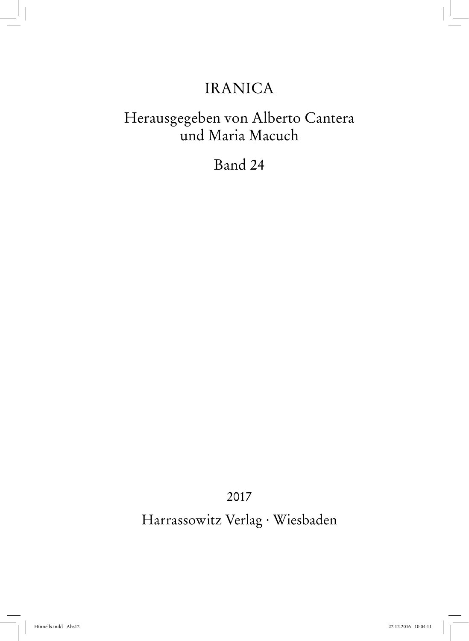## IRANICA

## Herausgegeben von Alberto Cantera und Maria Macuch

## Band 24

2017

Harrassowitz Verlag · Wiesbaden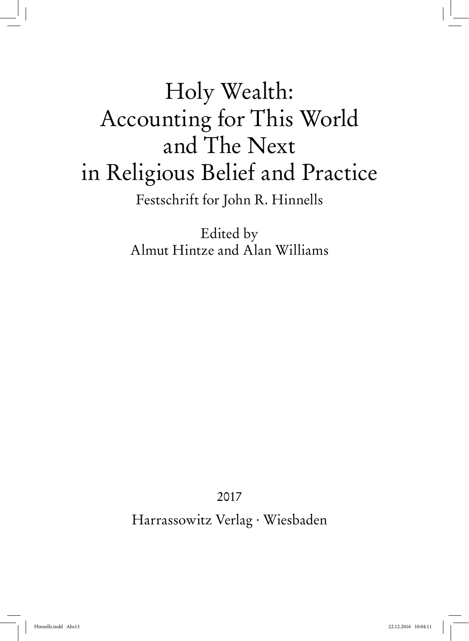# Holy Wealth: Accounting for This World and The Next in Religious Belief and Practice Festschrift for John R. Hinnells

Edited by Almut Hintze and Alan Williams

2017

Harrassowitz Verlag · Wiesbaden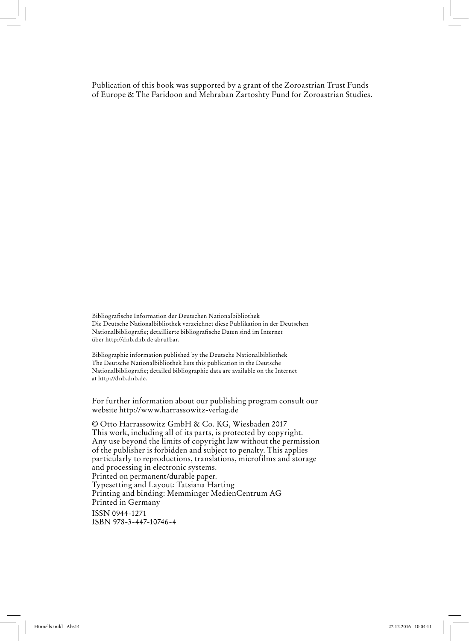Publication of this book was supported by a grant of the Zoroastrian Trust Funds of Europe & The Faridoon and Mehraban Zartoshty Fund for Zoroastrian Studies.

Bibliografische Information der Deutschen Nationalbibliothek Die Deutsche Nationalbibliothek verzeichnet diese Publikation in der Deutschen Nationalbibliografie; detaillierte bibliografische Daten sind im Internet über http://dnb.dnb.de abrufbar.

Bibliographic information published by the Deutsche Nationalbibliothek The Deutsche Nationalbibliothek lists this publication in the Deutsche Nationalbibliografie; detailed bibliographic data are available on the Internet at http://dnb.dnb.de.

For further information about our publishing program consult our website http://www.harrassowitz-verlag.de

© Otto Harrassowitz GmbH & Co. KG, Wiesbaden 2017 This work, including all of its parts, is protected by copyright. Any use beyond the limits of copyright law without the permission of the publisher is forbidden and subject to penalty. This applies particularly to reproductions, translations, microfilms and storage and processing in electronic systems. Printed on permanent/durable paper. Typesetting and Layout: Tatsiana Harting Printing and binding: Memminger MedienCentrum AG Printed in Germany ISSN 0944-1271 ISBN 978-3-447-10746-4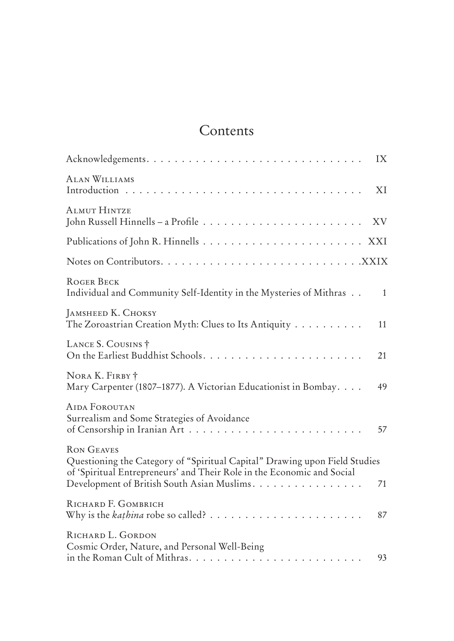## Contents

|                                                                                                                                                                                                                          | IX           |
|--------------------------------------------------------------------------------------------------------------------------------------------------------------------------------------------------------------------------|--------------|
| <b>ALAN WILLIAMS</b>                                                                                                                                                                                                     | XI           |
| <b>ALMUT HINTZE</b>                                                                                                                                                                                                      | XV           |
|                                                                                                                                                                                                                          |              |
|                                                                                                                                                                                                                          |              |
| ROGER BECK<br>Individual and Community Self-Identity in the Mysteries of Mithras                                                                                                                                         | $\mathbf{1}$ |
| <b>JAMSHEED K. CHOKSY</b><br>The Zoroastrian Creation Myth: Clues to Its Antiquity                                                                                                                                       | 11           |
| LANCE S. COUSINS †                                                                                                                                                                                                       | 21           |
| NORA K. FIRBY +<br>Mary Carpenter (1807–1877). A Victorian Educationist in Bombay.                                                                                                                                       | 49           |
| <b>AIDA FOROUTAN</b><br>Surrealism and Some Strategies of Avoidance                                                                                                                                                      | 57           |
| <b>RON GEAVES</b><br>Questioning the Category of "Spiritual Capital" Drawing upon Field Studies<br>of 'Spiritual Entrepreneurs' and Their Role in the Economic and Social<br>Development of British South Asian Muslims. | 71           |
| RICHARD F. GOMBRICH                                                                                                                                                                                                      | 87           |
| RICHARD L. GORDON<br>Cosmic Order, Nature, and Personal Well-Being<br>in the Roman Cult of Mithras                                                                                                                       | 93           |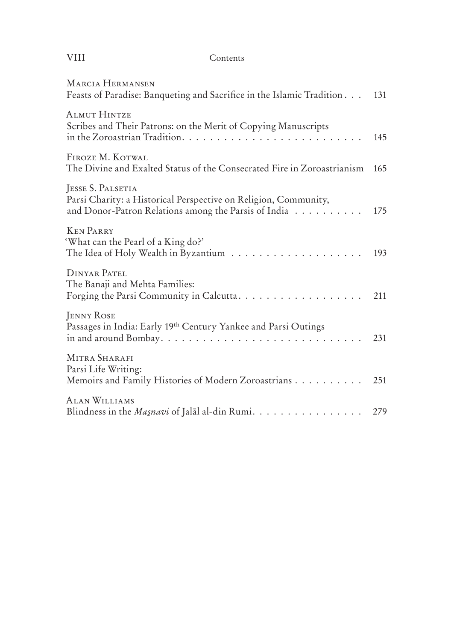#### VIII Contents

| <b>MARCIA HERMANSEN</b><br>Feasts of Paradise: Banqueting and Sacrifice in the Islamic Tradition                                             | 131 |
|----------------------------------------------------------------------------------------------------------------------------------------------|-----|
| <b>ALMUT HINTZE</b><br>Scribes and Their Patrons: on the Merit of Copying Manuscripts                                                        | 145 |
| FIROZE M. KOTWAL<br>The Divine and Exalted Status of the Consecrated Fire in Zoroastrianism                                                  | 165 |
| JESSE S. PALSETIA<br>Parsi Charity: a Historical Perspective on Religion, Community,<br>and Donor-Patron Relations among the Parsis of India | 175 |
| <b>KEN PARRY</b><br>'What can the Pearl of a King do?'                                                                                       | 193 |
| DINYAR PATEL<br>The Banaji and Mehta Families:                                                                                               | 211 |
| <b>JENNY ROSE</b><br>Passages in India: Early 19th Century Yankee and Parsi Outings<br>in and around Bombay                                  | 231 |
| MITRA SHARAFI<br>Parsi Life Writing:<br>Memoirs and Family Histories of Modern Zoroastrians                                                  | 251 |
| <b>ALAN WILLIAMS</b><br>Blindness in the Masnavi of Jalal al-din Rumi.                                                                       | 279 |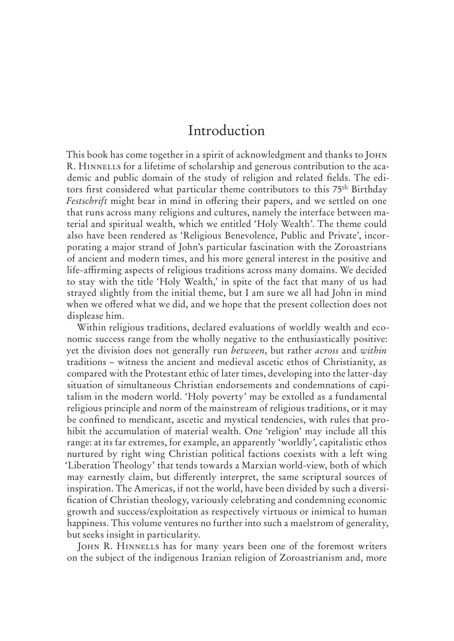### Introduction

This book has come together in a spirit of acknowledgment and thanks to John R. HINNELLS for a lifetime of scholarship and generous contribution to the academic and public domain of the study of religion and related fields. The editors first considered what particular theme contributors to this 75th Birthday *Festschrift* might bear in mind in offering their papers, and we settled on one that runs across many religions and cultures, namely the interface between material and spiritual wealth, which we entitled 'Holy Wealth'. The theme could also have been rendered as 'Religious Benevolence, Public and Private', incorporating a major strand of John's particular fascination with the Zoroastrians of ancient and modern times, and his more general interest in the positive and life-affirming aspects of religious traditions across many domains. We decided to stay with the title 'Holy Wealth,' in spite of the fact that many of us had strayed slightly from the initial theme, but I am sure we all had John in mind when we offered what we did, and we hope that the present collection does not displease him.

Within religious traditions, declared evaluations of worldly wealth and economic success range from the wholly negative to the enthusiastically positive: yet the division does not generally run *between*, but rather *across* and *within* traditions – witness the ancient and medieval ascetic ethos of Christianity, as compared with the Protestant ethic of later times, developing into the latter-day situation of simultaneous Christian endorsements and condemnations of capitalism in the modern world. 'Holy poverty' may be extolled as a fundamental religious principle and norm of the mainstream of religious traditions, or it may be confined to mendicant, ascetic and mystical tendencies, with rules that prohibit the accumulation of material wealth. One 'religion' may include all this range: at its far extremes, for example, an apparently 'worldly', capitalistic ethos nurtured by right wing Christian political factions coexists with a left wing 'Liberation Theology' that tends towards a Marxian world-view, both of which may earnestly claim, but differently interpret, the same scriptural sources of inspiration. The Americas, if not the world, have been divided by such a diversification of Christian theology, variously celebrating and condemning economic growth and success/exploitation as respectively virtuous or inimical to human happiness. This volume ventures no further into such a maelstrom of generality, but seeks insight in particularity.

JOHN R. HINNELLS has for many years been one of the foremost writers on the subject of the indigenous Iranian religion of Zoroastrianism and, more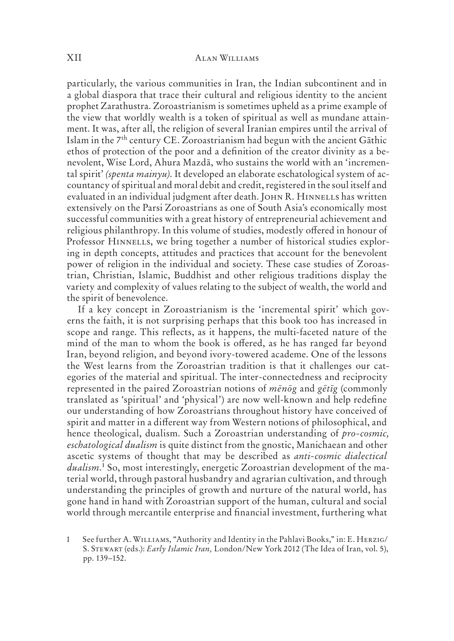particularly, the various communities in Iran, the Indian subcontinent and in a global diaspora that trace their cultural and religious identity to the ancient prophet Zarathustra. Zoroastrianism is sometimes upheld as a prime example of the view that worldly wealth is a token of spiritual as well as mundane attainment. It was, after all, the religion of several Iranian empires until the arrival of Islam in the 7th century CE. Zoroastrianism had begun with the ancient Gāthic ethos of protection of the poor and a definition of the creator divinity as a benevolent, Wise Lord, Ahura Mazdā, who sustains the world with an 'incremental spirit' *(spenta mainyu)*. It developed an elaborate eschatological system of accountancy of spiritual and moral debit and credit, registered in the soul itself and evaluated in an individual judgment after death. JOHN R. HINNELLS has written extensively on the Parsi Zoroastrians as one of South Asia's economically most successful communities with a great history of entrepreneurial achievement and religious philanthropy. In this volume of studies, modestly offered in honour of Professor HINNELLS, we bring together a number of historical studies exploring in depth concepts, attitudes and practices that account for the benevolent power of religion in the individual and society. These case studies of Zoroastrian, Christian, Islamic, Buddhist and other religious traditions display the variety and complexity of values relating to the subject of wealth, the world and the spirit of benevolence.

If a key concept in Zoroastrianism is the 'incremental spirit' which governs the faith, it is not surprising perhaps that this book too has increased in scope and range. This reflects, as it happens, the multi-faceted nature of the mind of the man to whom the book is offered, as he has ranged far beyond Iran, beyond religion, and beyond ivory-towered academe. One of the lessons the West learns from the Zoroastrian tradition is that it challenges our categories of the material and spiritual. The inter-connectedness and reciprocity represented in the paired Zoroastrian notions of *mēnōg* and *gētīg* (commonly translated as 'spiritual' and 'physical') are now well-known and help redefine our understanding of how Zoroastrians throughout history have conceived of spirit and matter in a different way from Western notions of philosophical, and hence theological, dualism. Such a Zoroastrian understanding of *pro-cosmic, eschatological dualism* is quite distinct from the gnostic, Manichaean and other ascetic systems of thought that may be described as *anti-cosmic dialectical dualism*.1 So, most interestingly, energetic Zoroastrian development of the material world, through pastoral husbandry and agrarian cultivation, and through understanding the principles of growth and nurture of the natural world, has gone hand in hand with Zoroastrian support of the human, cultural and social world through mercantile enterprise and financial investment, furthering what

<sup>1</sup> See further A. WILLIAMS, "Authority and Identity in the Pahlavi Books," in: E. HERZIG/ S. Stewart (eds.): *Early Islamic Iran,* London/New York 2012 (The Idea of Iran, vol. 5), pp. 139–152.